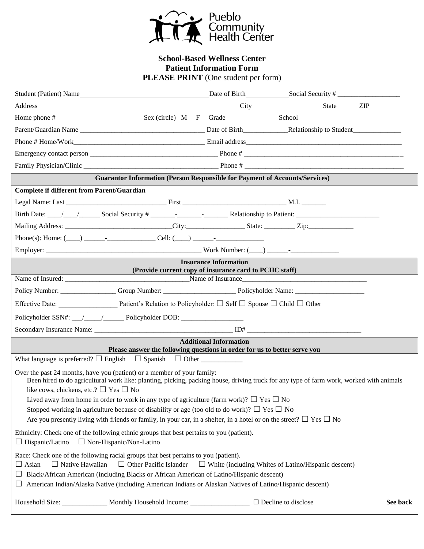

## **School-Based Wellness Center Patient Information Form** PLEASE PRINT (One student per form)

|                                                       | Student (Patient) Name                                                                                                                                                                                                                                                                                                                                                                                                                                                                                                                                              |                               |                            |  |          |
|-------------------------------------------------------|---------------------------------------------------------------------------------------------------------------------------------------------------------------------------------------------------------------------------------------------------------------------------------------------------------------------------------------------------------------------------------------------------------------------------------------------------------------------------------------------------------------------------------------------------------------------|-------------------------------|----------------------------|--|----------|
|                                                       |                                                                                                                                                                                                                                                                                                                                                                                                                                                                                                                                                                     |                               |                            |  |          |
|                                                       | Home phone # Sex (circle) M F Grade School School                                                                                                                                                                                                                                                                                                                                                                                                                                                                                                                   |                               |                            |  |          |
|                                                       |                                                                                                                                                                                                                                                                                                                                                                                                                                                                                                                                                                     |                               |                            |  |          |
|                                                       |                                                                                                                                                                                                                                                                                                                                                                                                                                                                                                                                                                     |                               |                            |  |          |
|                                                       |                                                                                                                                                                                                                                                                                                                                                                                                                                                                                                                                                                     |                               |                            |  |          |
|                                                       |                                                                                                                                                                                                                                                                                                                                                                                                                                                                                                                                                                     |                               |                            |  |          |
|                                                       | <b>Guarantor Information (Person Responsible for Payment of Accounts/Services)</b>                                                                                                                                                                                                                                                                                                                                                                                                                                                                                  |                               |                            |  |          |
| <b>Complete if different from Parent/Guardian</b>     |                                                                                                                                                                                                                                                                                                                                                                                                                                                                                                                                                                     |                               |                            |  |          |
|                                                       |                                                                                                                                                                                                                                                                                                                                                                                                                                                                                                                                                                     |                               |                            |  |          |
|                                                       |                                                                                                                                                                                                                                                                                                                                                                                                                                                                                                                                                                     |                               |                            |  |          |
|                                                       |                                                                                                                                                                                                                                                                                                                                                                                                                                                                                                                                                                     |                               |                            |  |          |
|                                                       |                                                                                                                                                                                                                                                                                                                                                                                                                                                                                                                                                                     |                               |                            |  |          |
|                                                       |                                                                                                                                                                                                                                                                                                                                                                                                                                                                                                                                                                     |                               |                            |  |          |
|                                                       |                                                                                                                                                                                                                                                                                                                                                                                                                                                                                                                                                                     | <b>Insurance Information</b>  |                            |  |          |
|                                                       | (Provide current copy of insurance card to PCHC staff)                                                                                                                                                                                                                                                                                                                                                                                                                                                                                                              |                               |                            |  |          |
|                                                       |                                                                                                                                                                                                                                                                                                                                                                                                                                                                                                                                                                     |                               |                            |  |          |
|                                                       | Effective Date: Patient's Relation to Policyholder: $\square$ Self $\square$ Spouse $\square$ Child $\square$ Other                                                                                                                                                                                                                                                                                                                                                                                                                                                 |                               |                            |  |          |
|                                                       | Policyholder SSN#: __/____/_____Policyholder DOB: ______________________________                                                                                                                                                                                                                                                                                                                                                                                                                                                                                    |                               |                            |  |          |
|                                                       |                                                                                                                                                                                                                                                                                                                                                                                                                                                                                                                                                                     |                               |                            |  |          |
|                                                       |                                                                                                                                                                                                                                                                                                                                                                                                                                                                                                                                                                     | <b>Additional Information</b> |                            |  |          |
|                                                       | Please answer the following questions in order for us to better serve you                                                                                                                                                                                                                                                                                                                                                                                                                                                                                           |                               |                            |  |          |
| like cows, chickens, etc.? $\square$ Yes $\square$ No | Over the past 24 months, have you (patient) or a member of your family:<br>Been hired to do agricultural work like: planting, picking, packing house, driving truck for any type of farm work, worked with animals<br>Lived away from home in order to work in any type of agriculture (farm work)? $\Box$ Yes $\Box$ No<br>Stopped working in agriculture because of disability or age (too old to do work)? $\Box$ Yes $\Box$ No<br>Are you presently living with friends or family, in your car, in a shelter, in a hotel or on the street? $\Box$ Yes $\Box$ No |                               |                            |  |          |
| $\Box$ Hispanic/Latino $\Box$ Non-Hispanic/Non-Latino | Ethnicity: Check one of the following ethnic groups that best pertains to you (patient).                                                                                                                                                                                                                                                                                                                                                                                                                                                                            |                               |                            |  |          |
| $\Box$ Asian                                          | Race: Check one of the following racial groups that best pertains to you (patient).<br>$\Box$ Native Hawaiian $\Box$ Other Pacific Islander $\Box$ White (including Whites of Latino/Hispanic descent)<br>Black/African American (including Blacks or African American of Latino/Hispanic descent)<br>American Indian/Alaska Native (including American Indians or Alaskan Natives of Latino/Hispanic descent)                                                                                                                                                      |                               |                            |  |          |
|                                                       | Household Size: ______________ Monthly Household Income: _______________________                                                                                                                                                                                                                                                                                                                                                                                                                                                                                    |                               | $\Box$ Decline to disclose |  | See back |